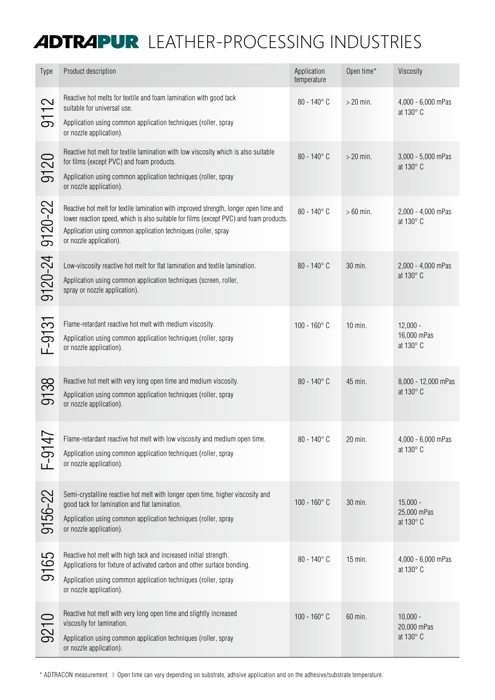## ADTRAPUR LEATHER-PROCESSING INDUSTRIES

| <b>Type</b>                                | Product description                                                                                                                                                                                                                                                          | Application<br>temperature | Open time*  | Viscosity                              |
|--------------------------------------------|------------------------------------------------------------------------------------------------------------------------------------------------------------------------------------------------------------------------------------------------------------------------------|----------------------------|-------------|----------------------------------------|
| $\overline{\mathcal{C}}$<br>$\overline{5}$ | Reactive hot melts for textile and foam lamination with good tack<br>suitable for universal use.<br>Application using common application techniques (roller, spray                                                                                                           | $80 - 140^{\circ}$ C       | $>$ 20 min. | 4,000 - 6,000 mPas<br>at 130° C        |
|                                            | or nozzle application).                                                                                                                                                                                                                                                      |                            |             |                                        |
| 20<br>$\overline{5}$                       | Reactive hot melt for textile lamination with low viscosity which is also suitable<br>for films (except PVC) and foam products.<br>Application using common application techniques (roller, spray<br>or nozzle application).                                                 | $80 - 140^{\circ}$ C       | $>$ 20 min. | 3,000 - 5,000 mPas<br>at 130° C        |
| $9120 - 22$                                | Reactive hot melt for textile lamination with improved strength, longer open time and<br>lower reaction speed, which is also suitable for films (except PVC) and foam products.<br>Application using common application techniques (roller, spray<br>or nozzle application). | $80 - 140^{\circ}$ C       | $>60$ min.  | 2,000 - 4,000 mPas<br>at 130° C        |
| 9120-24                                    | Low-viscosity reactive hot melt for flat lamination and textile lamination.<br>Application using common application techniques (screen, roller,<br>spray or nozzle application).                                                                                             | $80 - 140^{\circ}$ C       | 30 min.     | 2,000 - 4,000 mPas<br>at 130° C        |
| $F-9131$                                   | Flame-retardant reactive hot melt with medium viscosity.<br>Application using common application techniques (roller, spray<br>or nozzle application).                                                                                                                        | $100 - 160^{\circ}$ C      | $10$ min.   | $12,000 -$<br>16,000 mPas<br>at 130° C |
| 38<br>$\overline{5}$                       | Reactive hot melt with very long open time and medium viscosity.<br>Application using common application techniques (roller, spray<br>or nozzle application).                                                                                                                | $80 - 140^{\circ}$ C       | 45 min.     | 8,000 - 12,000 mPas<br>at 130° C       |
| $F-914$                                    | Flame-retardant reactive hot melt with low viscosity and medium open time.<br>Application using common application techniques (roller, spray<br>or nozzle application).                                                                                                      | $80 - 140^{\circ}$ C       | 20 min.     | 4,000 - 6,000 mPas<br>at 130° C        |
| 9156-22                                    | Semi-crystalline reactive hot melt with longer open time, higher viscosity and<br>good tack for lamination and flat lamination.<br>Application using common application techniques (roller, spray<br>or nozzle application).                                                 | $100 - 160^{\circ}$ C      | 30 min.     | $15,000 -$<br>25,000 mPas<br>at 130° C |
| 5<br>916                                   | Reactive hot melt with high tack and increased initial strength.<br>Applications for fixture of activated carbon and other surface bonding.<br>Application using common application techniques (roller, spray<br>or nozzle application).                                     | $80 - 140^{\circ}$ C       | 15 min.     | 4,000 - 6,000 mPas<br>at 130° C        |
| 9210                                       | Reactive hot melt with very long open time and slightly increased<br>viscosity for lamination.<br>Application using common application techniques (roller, spray<br>or nozzle application).                                                                                  | $100 - 160^{\circ}$ C      | 60 min.     | $10,000 -$<br>20,000 mPas<br>at 130° C |

\* ADTRACON measurement. | Open time can vary depending on substrate, adhsive application and on the adhesive/substrate temperature.